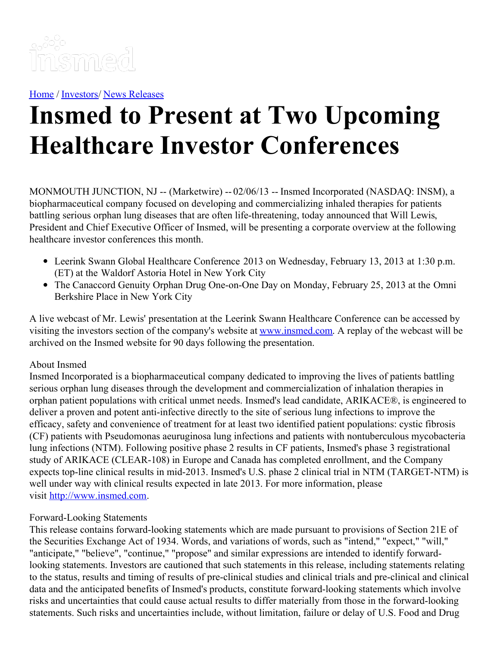

[Home](https://insmed.com/) / [Investors](https://investor.insmed.com/index)/ News [Releases](https://investor.insmed.com/releases)

## **Insmed to Present at Two Upcoming Healthcare Investor Conferences**

MONMOUTH JUNCTION, NJ -- (Marketwire) -- 02/06/13 -- Insmed Incorporated (NASDAQ: INSM), a biopharmaceutical company focused on developing and commercializing inhaled therapies for patients battling serious orphan lung diseases that are often life-threatening, today announced that Will Lewis, President and Chief Executive Officer of Insmed, will be presenting a corporate overview at the following healthcare investor conferences this month.

- Leerink Swann Global Healthcare Conference 2013 on Wednesday, February 13, 2013 at 1:30 p.m. (ET) at the Waldorf Astoria Hotel in New York City
- The Canaccord Genuity Orphan Drug One-on-One Day on Monday, February 25, 2013 at the Omni Berkshire Place in New York City

A live webcast of Mr. Lewis' presentation at the Leerink Swann Healthcare Conference can be accessed by visiting the investors section of the company's website at [www.insmed.com](http://www.insmed.com/). A replay of the webcast will be archived on the Insmed website for 90 days following the presentation.

## About Insmed

Insmed Incorporated is a biopharmaceutical company dedicated to improving the lives of patients battling serious orphan lung diseases through the development and commercialization of inhalation therapies in orphan patient populations with critical unmet needs. Insmed's lead candidate, ARIKACE®, is engineered to deliver a proven and potent anti-infective directly to the site of serious lung infections to improve the efficacy, safety and convenience of treatment for at least two identified patient populations: cystic fibrosis (CF) patients with Pseudomonas aeuruginosa lung infections and patients with nontuberculous mycobacteria lung infections (NTM). Following positive phase 2 results in CF patients, Insmed's phase 3 registrational study of ARIKACE (CLEAR-108) in Europe and Canada has completed enrollment, and the Company expects top-line clinical results in mid-2013. Insmed's U.S. phase 2 clinical trial in NTM (TARGET-NTM) is well under way with clinical results expected in late 2013. For more information, please visit [http://www.insmed.com](http://www.insmed.com/).

## Forward-Looking Statements

This release contains forward-looking statements which are made pursuant to provisions of Section 21E of the Securities Exchange Act of 1934. Words, and variations of words, such as "intend," "expect," "will," "anticipate," "believe", "continue," "propose" and similar expressions are intended to identify forwardlooking statements. Investors are cautioned that such statements in this release, including statements relating to the status, results and timing of results of pre-clinical studies and clinical trials and pre-clinical and clinical data and the anticipated benefits of Insmed's products, constitute forward-looking statements which involve risks and uncertainties that could cause actual results to differ materially from those in the forward-looking statements. Such risks and uncertainties include, without limitation, failure or delay of U.S. Food and Drug